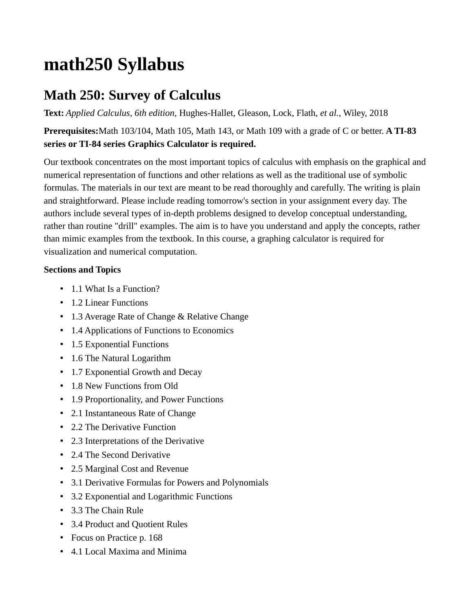## **math250 Syllabus**

## **Math 250: Survey of Calculus**

**Text:** *Applied Calculus, 6th edition*, Hughes-Hallet, Gleason, Lock, Flath, *et al.*, Wiley, 2018

**Prerequisites:**Math 103/104, Math 105, Math 143, or Math 109 with a grade of C or better. **A TI-83 series or TI-84 series Graphics Calculator is required.**

Our textbook concentrates on the most important topics of calculus with emphasis on the graphical and numerical representation of functions and other relations as well as the traditional use of symbolic formulas. The materials in our text are meant to be read thoroughly and carefully. The writing is plain and straightforward. Please include reading tomorrow's section in your assignment every day. The authors include several types of in-depth problems designed to develop conceptual understanding, rather than routine "drill" examples. The aim is to have you understand and apply the concepts, rather than mimic examples from the textbook. In this course, a graphing calculator is required for visualization and numerical computation.

## **Sections and Topics**

- 1.1 What Is a Function?
- 1.2 Linear Functions
- 1.3 Average Rate of Change & Relative Change
- 1.4 Applications of Functions to Economics
- 1.5 Exponential Functions
- 1.6 The Natural Logarithm
- 1.7 Exponential Growth and Decay
- 1.8 New Functions from Old
- 1.9 Proportionality, and Power Functions
- 2.1 Instantaneous Rate of Change
- 2.2 The Derivative Function
- 2.3 Interpretations of the Derivative
- 2.4 The Second Derivative
- 2.5 Marginal Cost and Revenue
- 3.1 Derivative Formulas for Powers and Polynomials
- 3.2 Exponential and Logarithmic Functions
- 3.3 The Chain Rule
- 3.4 Product and Quotient Rules
- Focus on Practice p. 168
- 4.1 Local Maxima and Minima